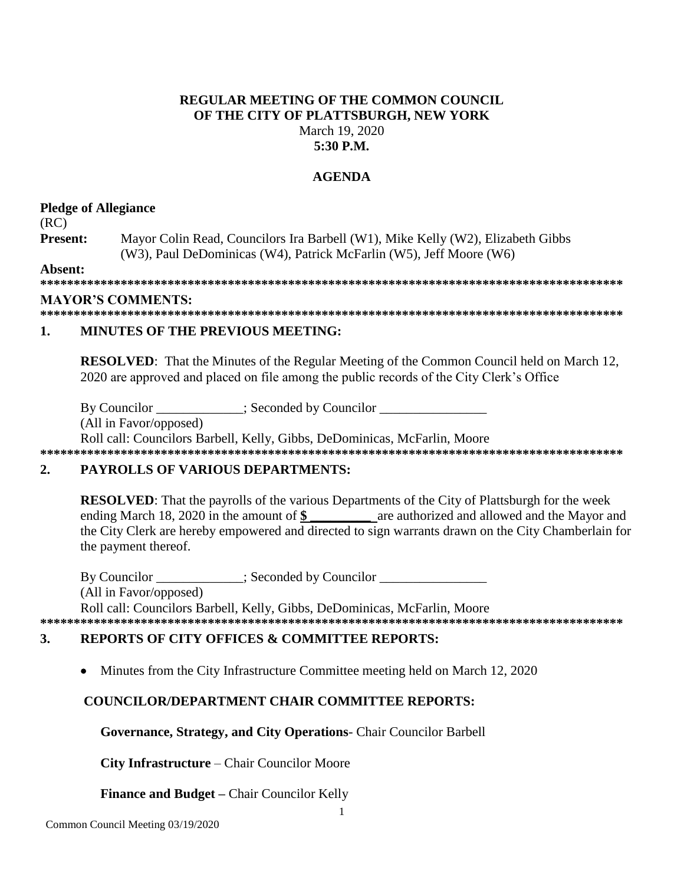## **REGULAR MEETING OF THE COMMON COUNCIL OF THE CITY OF PLATTSBURGH, NEW YORK** March 19, 2020 **5:30 P.M.**

# **AGENDA**

## **Pledge of Allegiance**

(RC)

**Present:** Mayor Colin Read, Councilors Ira Barbell (W1), Mike Kelly (W2), Elizabeth Gibbs (W3), Paul DeDominicas (W4), Patrick McFarlin (W5), Jeff Moore (W6)

**Absent:**

**\*\*\*\*\*\*\*\*\*\*\*\*\*\*\*\*\*\*\*\*\*\*\*\*\*\*\*\*\*\*\*\*\*\*\*\*\*\*\*\*\*\*\*\*\*\*\*\*\*\*\*\*\*\*\*\*\*\*\*\*\*\*\*\*\*\*\*\*\*\*\*\*\*\*\*\*\*\*\*\*\*\*\*\*\*\*\***

## **MAYOR'S COMMENTS:**

**\*\*\*\*\*\*\*\*\*\*\*\*\*\*\*\*\*\*\*\*\*\*\*\*\*\*\*\*\*\*\*\*\*\*\*\*\*\*\*\*\*\*\*\*\*\*\*\*\*\*\*\*\*\*\*\*\*\*\*\*\*\*\*\*\*\*\*\*\*\*\*\*\*\*\*\*\*\*\*\*\*\*\*\*\*\*\***

# **1. MINUTES OF THE PREVIOUS MEETING:**

**RESOLVED**: That the Minutes of the Regular Meeting of the Common Council held on March 12, 2020 are approved and placed on file among the public records of the City Clerk's Office

By Councilor \_\_\_\_\_\_\_\_\_\_\_; Seconded by Councilor \_\_\_\_\_\_\_\_\_\_\_\_\_\_\_\_\_\_\_\_\_\_\_\_\_\_\_\_\_\_\_\_

(All in Favor/opposed)

Roll call: Councilors Barbell, Kelly, Gibbs, DeDominicas, McFarlin, Moore **\*\*\*\*\*\*\*\*\*\*\*\*\*\*\*\*\*\*\*\*\*\*\*\*\*\*\*\*\*\*\*\*\*\*\*\*\*\*\*\*\*\*\*\*\*\*\*\*\*\*\*\*\*\*\*\*\*\*\*\*\*\*\*\*\*\*\*\*\*\*\*\*\*\*\*\*\*\*\*\*\*\*\*\*\*\*\***

# **2. PAYROLLS OF VARIOUS DEPARTMENTS:**

**RESOLVED**: That the payrolls of the various Departments of the City of Plattsburgh for the week ending March 18, 2020 in the amount of \$ are authorized and allowed and the Mayor and the City Clerk are hereby empowered and directed to sign warrants drawn on the City Chamberlain for the payment thereof.

By Councilor  $\qquad \qquad :$  Seconded by Councilor (All in Favor/opposed) Roll call: Councilors Barbell, Kelly, Gibbs, DeDominicas, McFarlin, Moore **\*\*\*\*\*\*\*\*\*\*\*\*\*\*\*\*\*\*\*\*\*\*\*\*\*\*\*\*\*\*\*\*\*\*\*\*\*\*\*\*\*\*\*\*\*\*\*\*\*\*\*\*\*\*\*\*\*\*\*\*\*\*\*\*\*\*\*\*\*\*\*\*\*\*\*\*\*\*\*\*\*\*\*\*\*\*\***

# **3. REPORTS OF CITY OFFICES & COMMITTEE REPORTS:**

• Minutes from the City Infrastructure Committee meeting held on March 12, 2020

# **COUNCILOR/DEPARTMENT CHAIR COMMITTEE REPORTS:**

**Governance, Strategy, and City Operations**- Chair Councilor Barbell

**City Infrastructure** – Chair Councilor Moore

**Finance and Budget –** Chair Councilor Kelly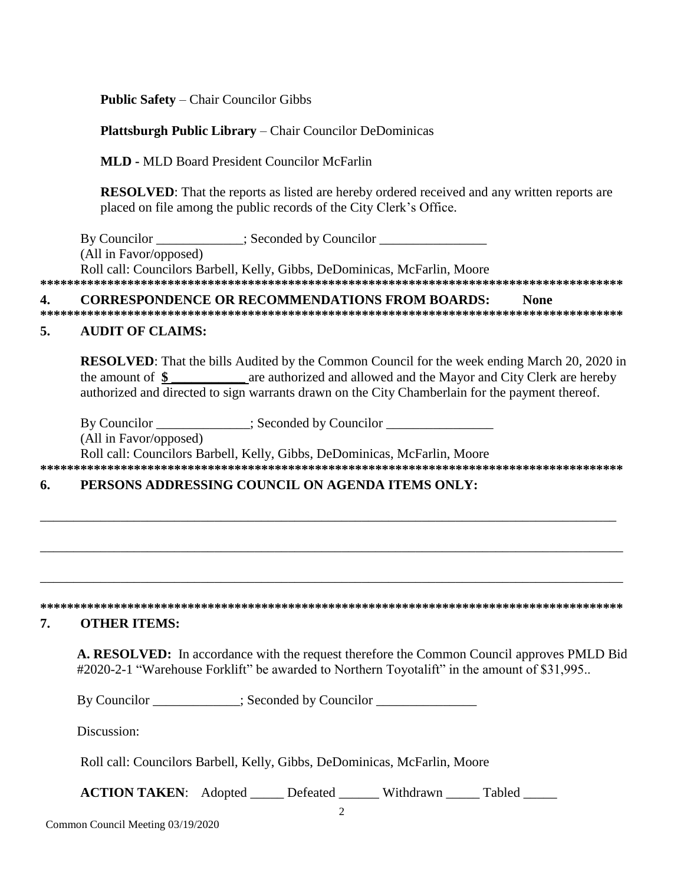**Public Safety** – Chair Councilor Gibbs

### **Plattsburgh Public Library** – Chair Councilor DeDominicas

**MLD -** MLD Board President Councilor McFarlin

**RESOLVED**: That the reports as listed are hereby ordered received and any written reports are placed on file among the public records of the City Clerk's Office.

By Councilor \_\_\_\_\_\_\_\_\_\_\_; Seconded by Councilor \_\_\_\_\_\_\_\_\_\_\_\_\_\_\_\_\_\_\_\_\_\_\_\_\_\_\_\_\_\_\_\_ (All in Favor/opposed) Roll call: Councilors Barbell, Kelly, Gibbs, DeDominicas, McFarlin, Moore **\*\*\*\*\*\*\*\*\*\*\*\*\*\*\*\*\*\*\*\*\*\*\*\*\*\*\*\*\*\*\*\*\*\*\*\*\*\*\*\*\*\*\*\*\*\*\*\*\*\*\*\*\*\*\*\*\*\*\*\*\*\*\*\*\*\*\*\*\*\*\*\*\*\*\*\*\*\*\*\*\*\*\*\*\*\*\***

#### **4. CORRESPONDENCE OR RECOMMENDATIONS FROM BOARDS: None \*\*\*\*\*\*\*\*\*\*\*\*\*\*\*\*\*\*\*\*\*\*\*\*\*\*\*\*\*\*\*\*\*\*\*\*\*\*\*\*\*\*\*\*\*\*\*\*\*\*\*\*\*\*\*\*\*\*\*\*\*\*\*\*\*\*\*\*\*\*\*\*\*\*\*\*\*\*\*\*\*\*\*\*\*\*\***

#### **5. AUDIT OF CLAIMS:**

**RESOLVED**: That the bills Audited by the Common Council for the week ending March 20, 2020 in the amount of **\$ \_\_\_\_\_\_\_\_\_\_\_** are authorized and allowed and the Mayor and City Clerk are hereby authorized and directed to sign warrants drawn on the City Chamberlain for the payment thereof.

By Councilor  $\therefore$  Seconded by Councilor (All in Favor/opposed) Roll call: Councilors Barbell, Kelly, Gibbs, DeDominicas, McFarlin, Moore **\*\*\*\*\*\*\*\*\*\*\*\*\*\*\*\*\*\*\*\*\*\*\*\*\*\*\*\*\*\*\*\*\*\*\*\*\*\*\*\*\*\*\*\*\*\*\*\*\*\*\*\*\*\*\*\*\*\*\*\*\*\*\*\*\*\*\*\*\*\*\*\*\*\*\*\*\*\*\*\*\*\*\*\*\*\*\***

## **6. PERSONS ADDRESSING COUNCIL ON AGENDA ITEMS ONLY:**

## **\*\*\*\*\*\*\*\*\*\*\*\*\*\*\*\*\*\*\*\*\*\*\*\*\*\*\*\*\*\*\*\*\*\*\*\*\*\*\*\*\*\*\*\*\*\*\*\*\*\*\*\*\*\*\*\*\*\*\*\*\*\*\*\*\*\*\*\*\*\*\*\*\*\*\*\*\*\*\*\*\*\*\*\*\*\*\***

\_\_\_\_\_\_\_\_\_\_\_\_\_\_\_\_\_\_\_\_\_\_\_\_\_\_\_\_\_\_\_\_\_\_\_\_\_\_\_\_\_\_\_\_\_\_\_\_\_\_\_\_\_\_\_\_\_\_\_\_\_\_\_\_\_\_\_\_\_\_\_\_\_\_\_\_\_\_\_\_\_\_\_\_\_\_

\_\_\_\_\_\_\_\_\_\_\_\_\_\_\_\_\_\_\_\_\_\_\_\_\_\_\_\_\_\_\_\_\_\_\_\_\_\_\_\_\_\_\_\_\_\_\_\_\_\_\_\_\_\_\_\_\_\_\_\_\_\_\_\_\_\_\_\_\_\_\_\_\_\_\_\_\_\_\_\_\_\_\_\_\_\_\_

\_\_\_\_\_\_\_\_\_\_\_\_\_\_\_\_\_\_\_\_\_\_\_\_\_\_\_\_\_\_\_\_\_\_\_\_\_\_\_\_\_\_\_\_\_\_\_\_\_\_\_\_\_\_\_\_\_\_\_\_\_\_\_\_\_\_\_\_\_\_\_\_\_\_\_\_\_\_\_\_\_\_\_\_\_\_\_

#### **7. OTHER ITEMS:**

**A. RESOLVED:** In accordance with the request therefore the Common Council approves PMLD Bid #2020-2-1 "Warehouse Forklift" be awarded to Northern Toyotalift" in the amount of \$31,995..

By Councilor \_\_\_\_\_\_\_\_\_\_; Seconded by Councilor \_\_\_\_\_\_\_\_\_\_\_\_\_\_\_\_\_\_\_\_\_\_\_\_\_\_\_\_\_\_\_\_\_

Discussion:

Roll call: Councilors Barbell, Kelly, Gibbs, DeDominicas, McFarlin, Moore

**ACTION TAKEN:** Adopted Defeated Withdrawn Tabled